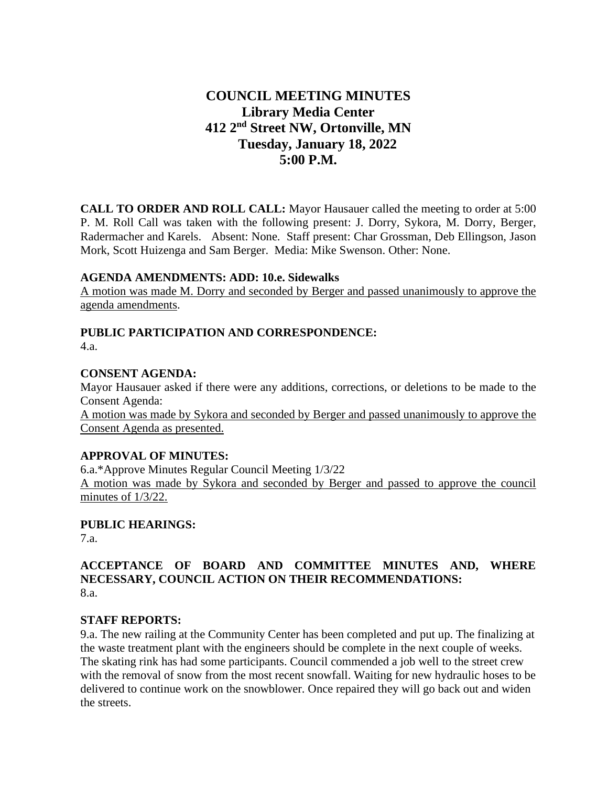# **COUNCIL MEETING MINUTES Library Media Center 412 2nd Street NW, Ortonville, MN Tuesday, January 18, 2022 5:00 P.M.**

**CALL TO ORDER AND ROLL CALL:** Mayor Hausauer called the meeting to order at 5:00 P. M. Roll Call was taken with the following present: J. Dorry, Sykora, M. Dorry, Berger, Radermacher and Karels. Absent: None. Staff present: Char Grossman, Deb Ellingson, Jason Mork, Scott Huizenga and Sam Berger. Media: Mike Swenson. Other: None.

## **AGENDA AMENDMENTS: ADD: 10.e. Sidewalks**

A motion was made M. Dorry and seconded by Berger and passed unanimously to approve the agenda amendments.

# **PUBLIC PARTICIPATION AND CORRESPONDENCE:**

4.a.

#### **CONSENT AGENDA:**

Mayor Hausauer asked if there were any additions, corrections, or deletions to be made to the Consent Agenda:

A motion was made by Sykora and seconded by Berger and passed unanimously to approve the Consent Agenda as presented.

# **APPROVAL OF MINUTES:**

6.a.\*Approve Minutes Regular Council Meeting 1/3/22 A motion was made by Sykora and seconded by Berger and passed to approve the council minutes of 1/3/22.

# **PUBLIC HEARINGS:**

7.a.

# **ACCEPTANCE OF BOARD AND COMMITTEE MINUTES AND, WHERE NECESSARY, COUNCIL ACTION ON THEIR RECOMMENDATIONS:** 8.a.

# **STAFF REPORTS:**

9.a. The new railing at the Community Center has been completed and put up. The finalizing at the waste treatment plant with the engineers should be complete in the next couple of weeks. The skating rink has had some participants. Council commended a job well to the street crew with the removal of snow from the most recent snowfall. Waiting for new hydraulic hoses to be delivered to continue work on the snowblower. Once repaired they will go back out and widen the streets.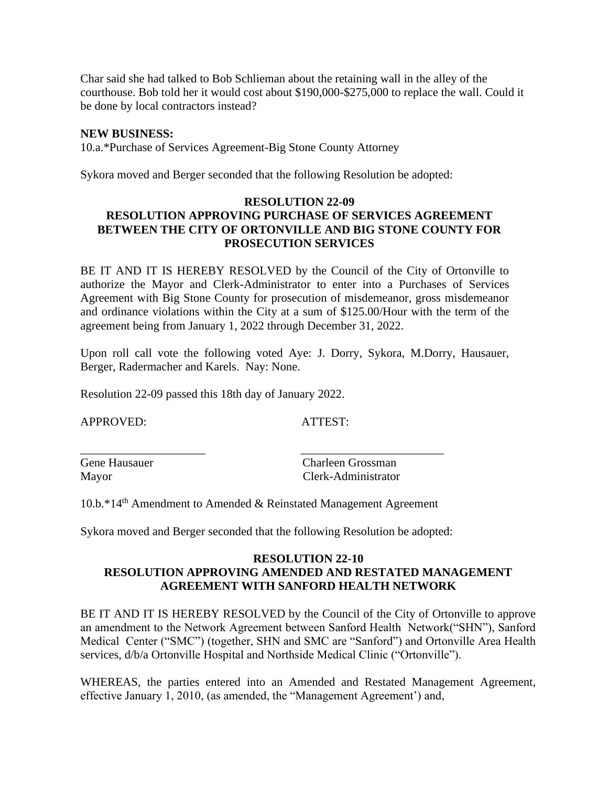Char said she had talked to Bob Schlieman about the retaining wall in the alley of the courthouse. Bob told her it would cost about \$190,000-\$275,000 to replace the wall. Could it be done by local contractors instead?

#### **NEW BUSINESS:**

10.a.\*Purchase of Services Agreement-Big Stone County Attorney

Sykora moved and Berger seconded that the following Resolution be adopted:

## **RESOLUTION 22-09 RESOLUTION APPROVING PURCHASE OF SERVICES AGREEMENT BETWEEN THE CITY OF ORTONVILLE AND BIG STONE COUNTY FOR PROSECUTION SERVICES**

BE IT AND IT IS HEREBY RESOLVED by the Council of the City of Ortonville to authorize the Mayor and Clerk-Administrator to enter into a Purchases of Services Agreement with Big Stone County for prosecution of misdemeanor, gross misdemeanor and ordinance violations within the City at a sum of \$125.00/Hour with the term of the agreement being from January 1, 2022 through December 31, 2022.

Upon roll call vote the following voted Aye: J. Dorry, Sykora, M.Dorry, Hausauer, Berger, Radermacher and Karels. Nay: None.

Resolution 22-09 passed this 18th day of January 2022.

APPROVED: ATTEST:

Gene Hausauer Charleen Grossman Mayor Clerk-Administrator

10.b.\*14th Amendment to Amended & Reinstated Management Agreement

\_\_\_\_\_\_\_\_\_\_\_\_\_\_\_\_\_\_\_\_\_ \_\_\_\_\_\_\_\_\_\_\_\_\_\_\_\_\_\_\_\_\_\_\_\_

Sykora moved and Berger seconded that the following Resolution be adopted:

# **RESOLUTION 22-10 RESOLUTION APPROVING AMENDED AND RESTATED MANAGEMENT AGREEMENT WITH SANFORD HEALTH NETWORK**

BE IT AND IT IS HEREBY RESOLVED by the Council of the City of Ortonville to approve an amendment to the Network Agreement between Sanford Health Network("SHN"), Sanford Medical Center ("SMC") (together, SHN and SMC are "Sanford") and Ortonville Area Health services, d/b/a Ortonville Hospital and Northside Medical Clinic ("Ortonville").

WHEREAS, the parties entered into an Amended and Restated Management Agreement, effective January 1, 2010, (as amended, the "Management Agreement') and,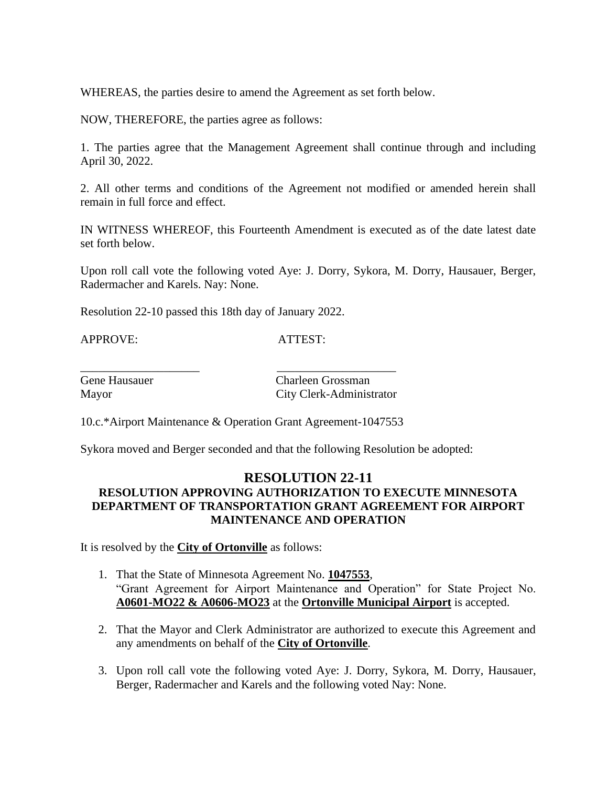WHEREAS, the parties desire to amend the Agreement as set forth below.

NOW, THEREFORE, the parties agree as follows:

1. The parties agree that the Management Agreement shall continue through and including April 30, 2022.

2. All other terms and conditions of the Agreement not modified or amended herein shall remain in full force and effect.

IN WITNESS WHEREOF, this Fourteenth Amendment is executed as of the date latest date set forth below.

Upon roll call vote the following voted Aye: J. Dorry, Sykora, M. Dorry, Hausauer, Berger, Radermacher and Karels. Nay: None.

Resolution 22-10 passed this 18th day of January 2022.

APPROVE: ATTEST:

\_\_\_\_\_\_\_\_\_\_\_\_\_\_\_\_\_\_\_\_ \_\_\_\_\_\_\_\_\_\_\_\_\_\_\_\_\_\_\_\_

Gene Hausauer Charleen Grossman Mayor City Clerk-Administrator

10.c.\*Airport Maintenance & Operation Grant Agreement-1047553

Sykora moved and Berger seconded and that the following Resolution be adopted:

# **RESOLUTION 22-11 RESOLUTION APPROVING AUTHORIZATION TO EXECUTE MINNESOTA DEPARTMENT OF TRANSPORTATION GRANT AGREEMENT FOR AIRPORT MAINTENANCE AND OPERATION**

It is resolved by the **City of Ortonville** as follows:

- 1. That the State of Minnesota Agreement No. **1047553**, "Grant Agreement for Airport Maintenance and Operation" for State Project No. **A0601-MO22 & A0606-MO23** at the **Ortonville Municipal Airport** is accepted.
- 2. That the Mayor and Clerk Administrator are authorized to execute this Agreement and any amendments on behalf of the **City of Ortonville**.
- 3. Upon roll call vote the following voted Aye: J. Dorry, Sykora, M. Dorry, Hausauer, Berger, Radermacher and Karels and the following voted Nay: None.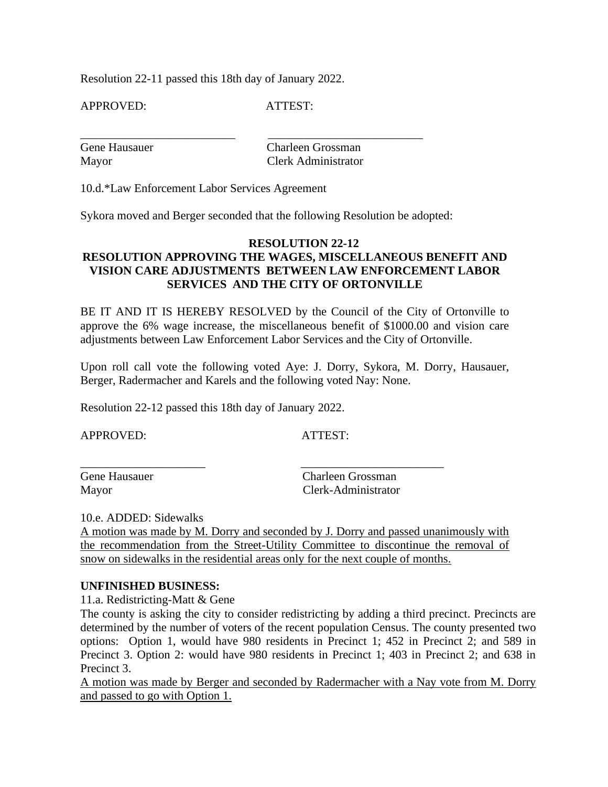Resolution 22-11 passed this 18th day of January 2022.

APPROVED: ATTEST:

| Gene Hausauer | Charleen Grossman   |
|---------------|---------------------|
| Mayor         | Clerk Administrator |

10.d.\*Law Enforcement Labor Services Agreement

Sykora moved and Berger seconded that the following Resolution be adopted:

# **RESOLUTION 22-12 RESOLUTION APPROVING THE WAGES, MISCELLANEOUS BENEFIT AND VISION CARE ADJUSTMENTS BETWEEN LAW ENFORCEMENT LABOR SERVICES AND THE CITY OF ORTONVILLE**

BE IT AND IT IS HEREBY RESOLVED by the Council of the City of Ortonville to approve the 6% wage increase, the miscellaneous benefit of \$1000.00 and vision care adjustments between Law Enforcement Labor Services and the City of Ortonville.

Upon roll call vote the following voted Aye: J. Dorry, Sykora, M. Dorry, Hausauer, Berger, Radermacher and Karels and the following voted Nay: None.

Resolution 22-12 passed this 18th day of January 2022.

APPROVED: ATTEST:

Gene Hausauer Charleen Grossman Mayor Clerk-Administrator

10.e. ADDED: Sidewalks

A motion was made by M. Dorry and seconded by J. Dorry and passed unanimously with the recommendation from the Street-Utility Committee to discontinue the removal of snow on sidewalks in the residential areas only for the next couple of months.

\_\_\_\_\_\_\_\_\_\_\_\_\_\_\_\_\_\_\_\_\_ \_\_\_\_\_\_\_\_\_\_\_\_\_\_\_\_\_\_\_\_\_\_\_\_

# **UNFINISHED BUSINESS:**

11.a. Redistricting-Matt & Gene

The county is asking the city to consider redistricting by adding a third precinct. Precincts are determined by the number of voters of the recent population Census. The county presented two options: Option 1, would have 980 residents in Precinct 1; 452 in Precinct 2; and 589 in Precinct 3. Option 2: would have 980 residents in Precinct 1; 403 in Precinct 2; and 638 in Precinct 3.

A motion was made by Berger and seconded by Radermacher with a Nay vote from M. Dorry and passed to go with Option 1.